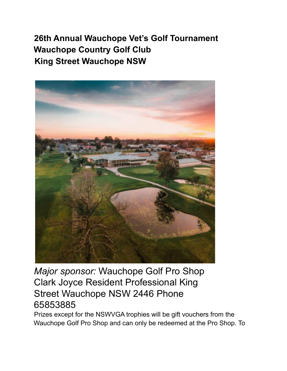## **26th Annual Wauchope Vet's Golf Tournament Wauchope Country Golf Club King Street Wauchope NSW**



*Major sponsor:* Wauchope Golf Pro Shop Clark Joyce Resident Professional King Street Wauchope NSW 2446 Phone 65853885

Prizes except for the NSWVGA trophies will be gift vouchers from the Wauchope Golf Pro Shop and can only be redeemed at the Pro Shop. To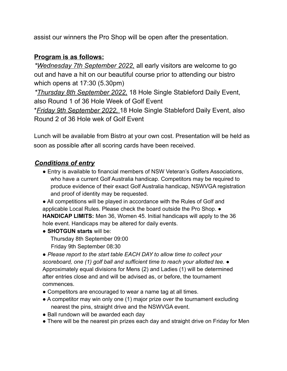assist our winners the Pro Shop will be open after the presentation.

## **Program is as follows:**

*\*Wednesday 7th September 2022,* all early visitors are welcome to go out and have a hit on our beautiful course prior to attending our bistro which opens at 17:30 (5.30pm)

*\*Thursday 8th September 2022,* 18 Hole Single Stableford Daily Event, also Round 1 of 36 Hole Week of Golf Event

\**Friday 9th September 2022,* 18 Hole Single Stableford Daily Event, also Round 2 of 36 Hole wek of Golf Event

Lunch will be available from Bistro at your own cost. Presentation will be held as soon as possible after all scoring cards have been received.

## *Conditions of entry*

● Entry is available to financial members of NSW Veteran's Golfers Associations, who have a current Golf Australia handicap. Competitors may be required to produce evidence of their exact Golf Australia handicap, NSWVGA registration and proof of identity may be requested.

• All competitions will be played in accordance with the Rules of Golf and applicable Local Rules. Please check the board outside the Pro Shop. **● HANDICAP LIMITS:** Men 36, Women 45. Initial handicaps will apply to the 36 hole event. Handicaps may be altered for daily events.

- **SHOTGUN starts** will be: Thursday 8th September 09:00
	- Friday 9th September 08:30

*● Please report to the start table EACH DAY to allow time to collect your scoreboard, one (1) golf ball and sufficient time to reach your allotted tee.* ● Approximately equal divisions for Mens (2) and Ladies (1) will be determined after entries close and and will be advised as, or before, the tournament commences.

- Competitors are encouraged to wear a name tag at all times.
- A competitor may win only one (1) major prize over the tournament excluding nearest the pins, straight drive and the NSWVGA event.
- Ball rundown will be awarded each day
- There will be the nearest pin prizes each day and straight drive on Friday for Men